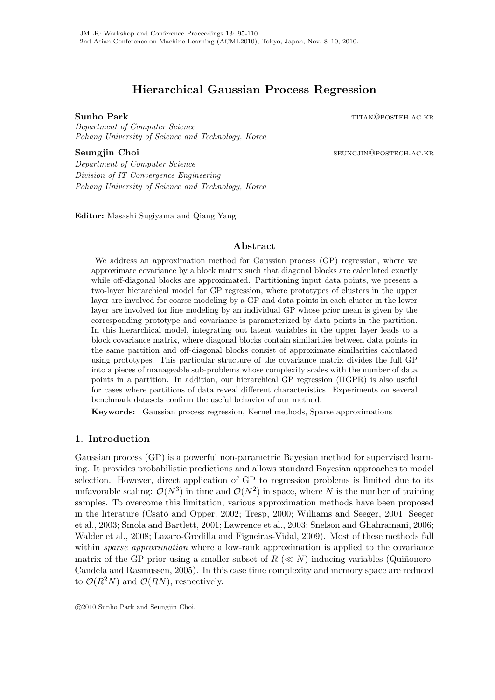# **Hierarchical Gaussian Process Regression**

**Sunho Park** titang titang para titang para titang para titang para titang para titang para titang para titang para titang para titang para titang para titang para titang para titang para titang para titang para titang par

*Department of Computer Science Pohang University of Science and Technology, Korea*

**Seungjin Choi** seungjin Choi

*Department of Computer Science Division of IT Convergence Engineering Pohang University of Science and Technology, Korea*

**Editor:** Masashi Sugiyama and Qiang Yang

# **Abstract**

We address an approximation method for Gaussian process (GP) regression, where we approximate covariance by a block matrix such that diagonal blocks are calculated exactly while off-diagonal blocks are approximated. Partitioning input data points, we present a two-layer hierarchical model for GP regression, where prototypes of clusters in the upper layer are involved for coarse modeling by a GP and data points in each cluster in the lower layer are involved for fine modeling by an individual GP whose prior mean is given by the corresponding prototype and covariance is parameterized by data points in the partition. In this hierarchical model, integrating out latent variables in the upper layer leads to a block covariance matrix, where diagonal blocks contain similarities between data points in the same partition and off-diagonal blocks consist of approximate similarities calculated using prototypes. This particular structure of the covariance matrix divides the full GP into a pieces of manageable sub-problems whose complexity scales with the number of data points in a partition. In addition, our hierarchical GP regression (HGPR) is also useful for cases where partitions of data reveal different characteristics. Experiments on several benchmark datasets confirm the useful behavior of our method.

**Keywords:** Gaussian process regression, Kernel methods, Sparse approximations

# **1. Introduction**

Gaussian process (GP) is a powerful non-parametric Bayesian method for supervised learning. It provides probabilistic predictions and allows standard Bayesian approaches to model selection. However, direct application of GP to regression problems is limited due to its unfavorable scaling:  $\mathcal{O}(N^3)$  in time and  $\mathcal{O}(N^2)$  in space, where *N* is the number of training samples. To overcome this limitation, various approximation methods have been proposed in the literature (Csató and Opper, 2002; Tresp, 2000; Williams and Seeger, 2001; Seeger et al., 2003; Smola and Bartlett, 2001; Lawrence et al., 2003; Snelson and Ghahramani, 2006; Walder et al., 2008; Lazaro-Gredilla and Figueiras-Vidal, 2009). Most of these methods fall within *sparse approximation* where a low-rank approximation is applied to the covariance matrix of the GP prior using a smaller subset of  $R \ll N$ ) inducing variables (Quiñonero-Candela and Rasmussen, 2005). In this case time complexity and memory space are reduced to  $\mathcal{O}(R^2N)$  and  $\mathcal{O}(RN)$ , respectively.

 $\odot$ 2010 Sunho Park and Seungjin Choi.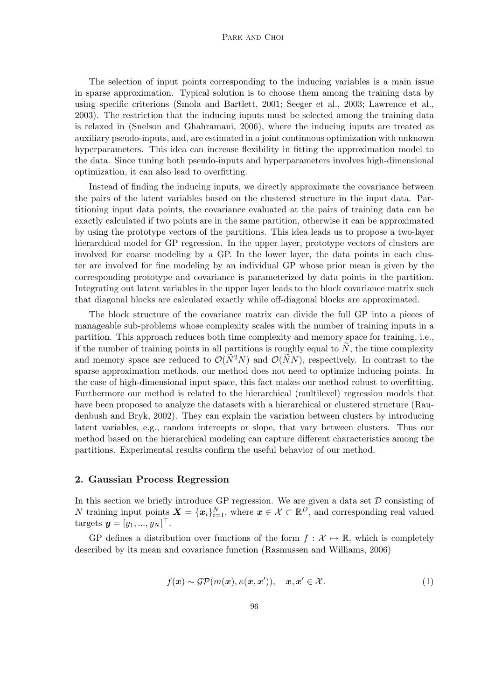#### PARK AND CHOI

The selection of input points corresponding to the inducing variables is a main issue in sparse approximation. Typical solution is to choose them among the training data by using specific criterions (Smola and Bartlett, 2001; Seeger et al., 2003; Lawrence et al., 2003). The restriction that the inducing inputs must be selected among the training data is relaxed in (Snelson and Ghahramani, 2006), where the inducing inputs are treated as auxiliary pseudo-inputs, and, are estimated in a joint continuous optimization with unknown hyperparameters. This idea can increase flexibility in fitting the approximation model to the data. Since tuning both pseudo-inputs and hyperparameters involves high-dimensional optimization, it can also lead to overfitting.

Instead of finding the inducing inputs, we directly approximate the covariance between the pairs of the latent variables based on the clustered structure in the input data. Partitioning input data points, the covariance evaluated at the pairs of training data can be exactly calculated if two points are in the same partition, otherwise it can be approximated by using the prototype vectors of the partitions. This idea leads us to propose a two-layer hierarchical model for GP regression. In the upper layer, prototype vectors of clusters are involved for coarse modeling by a GP. In the lower layer, the data points in each cluster are involved for fine modeling by an individual GP whose prior mean is given by the corresponding prototype and covariance is parameterized by data points in the partition. Integrating out latent variables in the upper layer leads to the block covariance matrix such that diagonal blocks are calculated exactly while off-diagonal blocks are approximated.

The block structure of the covariance matrix can divide the full GP into a pieces of manageable sub-problems whose complexity scales with the number of training inputs in a partition. This approach reduces both time complexity and memory space for training, i.e., if the number of training points in all partitions is roughly equal to  $N$ , the time complexity and memory space are reduced to  $\mathcal{O}(N^2N)$  and  $\mathcal{O}(NN)$ , respectively. In contrast to the sparse approximation methods, our method does not need to optimize inducing points. In the case of high-dimensional input space, this fact makes our method robust to overfitting. Furthermore our method is related to the hierarchical (multilevel) regression models that have been proposed to analyze the datasets with a hierarchical or clustered structure (Raudenbush and Bryk, 2002). They can explain the variation between clusters by introducing latent variables, e.g., random intercepts or slope, that vary between clusters. Thus our method based on the hierarchical modeling can capture different characteristics among the partitions. Experimental results confirm the useful behavior of our method.

### **2. Gaussian Process Regression**

In this section we briefly introduce GP regression. We are given a data set *D* consisting of *N* training input points  $\mathbf{X} = {\mathbf{x}_i}_{i=1}^N$ , where  $\mathbf{x} \in \mathcal{X} \subset \mathbb{R}^D$ , and corresponding real valued  $\text{targets } y = [y_1, ..., y_N]^\top.$ 

GP defines a distribution over functions of the form  $f : \mathcal{X} \mapsto \mathbb{R}$ , which is completely described by its mean and covariance function (Rasmussen and Williams, 2006)

$$
f(\mathbf{x}) \sim \mathcal{GP}(m(\mathbf{x}), \kappa(\mathbf{x}, \mathbf{x}')), \quad \mathbf{x}, \mathbf{x}' \in \mathcal{X}.
$$
 (1)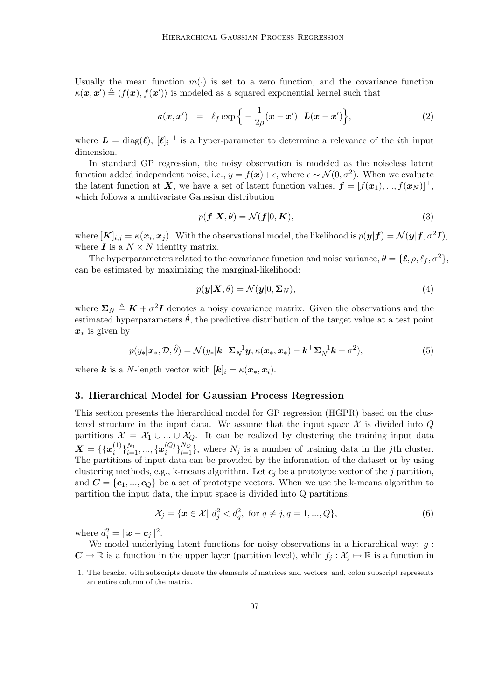Usually the mean function  $m(\cdot)$  is set to a zero function, and the covariance function  $\kappa(\mathbf{x}, \mathbf{x}') \triangleq \langle f(\mathbf{x}), f(\mathbf{x}') \rangle$  is modeled as a squared exponential kernel such that

$$
\kappa(\boldsymbol{x}, \boldsymbol{x}') = \ell_f \exp\left\{-\frac{1}{2\rho}(\boldsymbol{x} - \boldsymbol{x}')^\top \boldsymbol{L}(\boldsymbol{x} - \boldsymbol{x}')\right\},\tag{2}
$$

where  $\boldsymbol{L} = \text{diag}(\boldsymbol{\ell}), [\boldsymbol{\ell}]_i^{-1}$  is a hyper-parameter to determine a relevance of the *i*th input dimension.

In standard GP regression, the noisy observation is modeled as the noiseless latent function added independent noise, i.e.,  $y = f(x) + \epsilon$ , where  $\epsilon \sim \mathcal{N}(0, \sigma^2)$ . When we evaluate the latent function at *X*, we have a set of latent function values,  $f = [f(x_1), ..., f(x_N)]^T$ , which follows a multivariate Gaussian distribution

$$
p(\mathbf{f}|\mathbf{X},\theta) = \mathcal{N}(\mathbf{f}|0,\mathbf{K}),\tag{3}
$$

 $\mathbf{w} = [\mathbf{K}]_{i,j} = \kappa(\mathbf{x}_i, \mathbf{x}_j).$  With the observational model, the likelihood is  $p(\mathbf{y}|\mathbf{f}) = \mathcal{N}(\mathbf{y}|\mathbf{f}, \sigma^2 \mathbf{I}),$ where  $\boldsymbol{I}$  is a  $N \times N$  identity matrix.

The hyperparameters related to the covariance function and noise variance,  $\theta = {\ell, \rho, \ell_f, \sigma^2}$ , can be estimated by maximizing the marginal-likelihood:

$$
p(\mathbf{y}|\mathbf{X},\theta) = \mathcal{N}(\mathbf{y}|0,\mathbf{\Sigma}_N),
$$
\n(4)

where  $\Sigma_N \triangleq K + \sigma^2 I$  denotes a noisy covariance matrix. Given the observations and the estimated hyperparameters  $\hat{\theta}$ , the predictive distribution of the target value at a test point *x<sup>∗</sup>* is given by

$$
p(y_*|\boldsymbol{x}_*, \mathcal{D}, \hat{\theta}) = \mathcal{N}(y_*|\boldsymbol{k}^\top \boldsymbol{\Sigma}_N^{-1} \boldsymbol{y}, \kappa(\boldsymbol{x}_*, \boldsymbol{x}_*) - \boldsymbol{k}^\top \boldsymbol{\Sigma}_N^{-1} \boldsymbol{k} + \sigma^2),
$$
\n(5)

where *k* is a *N*-length vector with  $[k]_i = \kappa(\mathbf{x}_*, \mathbf{x}_i)$ .

#### **3. Hierarchical Model for Gaussian Process Regression**

This section presents the hierarchical model for GP regression (HGPR) based on the clustered structure in the input data. We assume that the input space  $\mathcal X$  is divided into  $Q$ partitions  $\mathcal{X} = \mathcal{X}_1 \cup ... \cup \mathcal{X}_Q$ . It can be realized by clustering the training input data  $\boldsymbol{X} = \{ \{\boldsymbol{x}_i^{(1)}\}$  $\{a_i^{(1)}\}_{i=1}^{N_1},...,\{x_i^{(Q)}\}$  ${}^{(Q)}_{i}$ <sub> ${}^{N_Q}_{i=1}$ <sup>*N*<sub>*Q*</sub></sub> *i* s a number of training data in the *j*th cluster.</sub></sup> The partitions of input data can be provided by the information of the dataset or by using clustering methods, e.g., k-means algorithm. Let *c<sup>j</sup>* be a prototype vector of the *j* partition, and  $\mathbf{C} = {\mathbf{c}_1, ..., \mathbf{c}_Q}$  be a set of prototype vectors. When we use the k-means algorithm to partition the input data, the input space is divided into Q partitions:

$$
\mathcal{X}_j = \{ \mathbf{x} \in \mathcal{X} \mid d_j^2 < d_q^2, \text{ for } q \neq j, q = 1, ..., Q \},\tag{6}
$$

where  $d_j^2 = ||x - c_j||^2$ .

We model underlying latent functions for noisy observations in a hierarchical way: *g* :  $C \mapsto \mathbb{R}$  is a function in the upper layer (partition level), while  $f_j : \mathcal{X}_j \mapsto \mathbb{R}$  is a function in

<sup>1.</sup> The bracket with subscripts denote the elements of matrices and vectors, and, colon subscript represents an entire column of the matrix.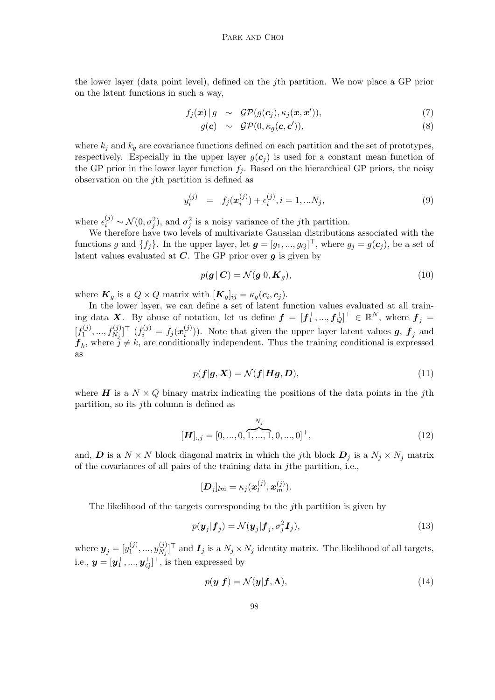the lower layer (data point level), defined on the *j*th partition. We now place a GP prior on the latent functions in such a way,

$$
f_j(\boldsymbol{x}) | g \sim \mathcal{GP}(g(\boldsymbol{c}_j), \kappa_j(\boldsymbol{x}, \boldsymbol{x}')), \qquad (7)
$$

$$
g(\mathbf{c}) \sim \mathcal{GP}(0, \kappa_g(\mathbf{c}, \mathbf{c}')), \qquad (8)
$$

where  $k_j$  and  $k_g$  are covariance functions defined on each partition and the set of prototypes, respectively. Especially in the upper layer  $g(c_j)$  is used for a constant mean function of the GP prior in the lower layer function  $f_i$ . Based on the hierarchical GP priors, the noisy observation on the *j*th partition is defined as

$$
y_i^{(j)} = f_j(\mathbf{x}_i^{(j)}) + \epsilon_i^{(j)}, i = 1, \dots N_j,
$$
\n(9)

where  $\epsilon_i^{(j)} \sim \mathcal{N}(0, \sigma_j^2)$ , and  $\sigma_j^2$  is a noisy variance of the *j*th partition.

We therefore have two levels of multivariate Gaussian distributions associated with the functions *g* and  $\{f_j\}$ . In the upper layer, let  $g = [g_1, ..., g_Q]^\perp$ , where  $g_j = g(c_j)$ , be a set of latent values evaluated at *C*. The GP prior over *g* is given by

$$
p(\mathbf{g} \mid \mathbf{C}) = \mathcal{N}(\mathbf{g} \mid 0, \mathbf{K}_g),\tag{10}
$$

where  $\mathbf{K}_g$  is a  $Q \times Q$  matrix with  $[\mathbf{K}_g]_{ij} = \kappa_g(\mathbf{c}_i, \mathbf{c}_j)$ .

In the lower layer, we can define a set of latent function values evaluated at all training data *X*. By abuse of notation, let us define  $f = [f_1^\top, ..., f_Q^\top]^\top \in \mathbb{R}^N$ , where  $f_j =$  $[f_1^{(j)}]$  $[f^{(j)}_{1},...,f^{(j)}_{N_{j}}]^\top$   $(f^{(j)}_{i} = f_{j}(\boldsymbol{x}^{(j)}_{i}))$  $\binom{J}{i}$ ). Note that given the upper layer latent values *g*,  $f_j$  and  $f_k$ , where  $j \neq k$ , are conditionally independent. Thus the training conditional is expressed as

$$
p(\boldsymbol{f}|\boldsymbol{g}, \boldsymbol{X}) = \mathcal{N}(\boldsymbol{f}|\boldsymbol{H}\boldsymbol{g}, \boldsymbol{D}),
$$
\n(11)

where  $H$  is a  $N \times Q$  binary matrix indicating the positions of the data points in the *j*th partition, so its *j*th column is defined as

$$
[\boldsymbol{H}]_{:,j} = [0, ..., 0, \overbrace{1, ..., 1}^{N_j}, 0, ..., 0]^{\top},
$$
\n(12)

and, *D* is a  $N \times N$  block diagonal matrix in which the *j*th block  $D_j$  is a  $N_j \times N_j$  matrix of the covariances of all pairs of the training data in *j*the partition, i.e.,

$$
[\boldsymbol{D}_j]_{lm} = \kappa_j(\boldsymbol{x}_l^{(j)}, \boldsymbol{x}_m^{(j)}).
$$

The likelihood of the targets corresponding to the *j*th partition is given by

$$
p(\mathbf{y}_j|\mathbf{f}_j) = \mathcal{N}(\mathbf{y}_j|\mathbf{f}_j, \sigma_j^2 \mathbf{I}_j),
$$
\n(13)

where  $\boldsymbol{y}_j = [y_1^{(j)}]$  $y_{1}^{(j)},...,y_{N_{j}}^{(j)}$  $N_j$ <sup>[*V*</sup>]<sup> $\perp$ </sup> and  $I_j$  is a  $N_j \times N_j$  identity matrix. The likelihood of all targets, i.e.,  $\mathbf{y} = [\mathbf{y}_1^\top, ..., \mathbf{y}_Q^\top]^\top$ , is then expressed by

$$
p(\mathbf{y}|\mathbf{f}) = \mathcal{N}(\mathbf{y}|\mathbf{f}, \mathbf{\Lambda}),\tag{14}
$$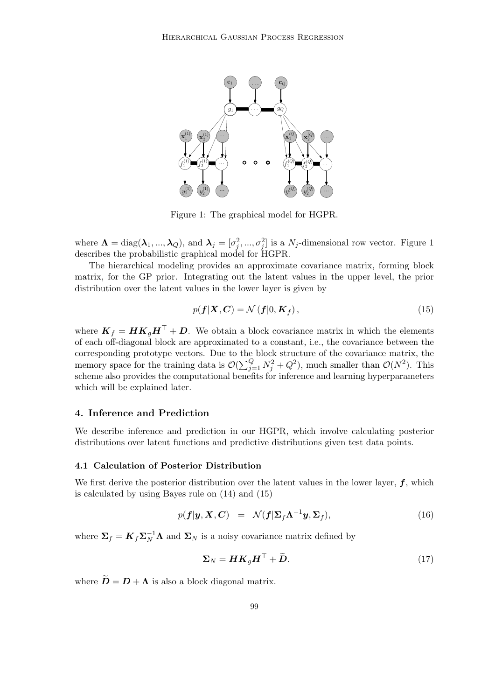

Figure 1: The graphical model for HGPR.

where  $\Lambda = \text{diag}(\lambda_1, ..., \lambda_Q)$ , and  $\lambda_j = [\sigma_j^2, ..., \sigma_j^2]$  is a  $N_j$ -dimensional row vector. Figure 1 describes the probabilistic graphical model for HGPR.

The hierarchical modeling provides an approximate covariance matrix, forming block matrix, for the GP prior. Integrating out the latent values in the upper level, the prior distribution over the latent values in the lower layer is given by

$$
p(\mathbf{f}|\mathbf{X}, \mathbf{C}) = \mathcal{N}\left(\mathbf{f}|0, \mathbf{K}_f\right),\tag{15}
$$

where  $K_f = H K_g H^{\top} + D$ . We obtain a block covariance matrix in which the elements of each off-diagonal block are approximated to a constant, i.e., the covariance between the corresponding prototype vectors. Due to the block structure of the covariance matrix, the memory space for the training data is  $\mathcal{O}(\sum_{j=1}^{Q} N_j^2 + Q^2)$ , much smaller than  $\mathcal{O}(N^2)$ . This scheme also provides the computational benefits for inference and learning hyperparameters which will be explained later.

# **4. Inference and Prediction**

We describe inference and prediction in our HGPR, which involve calculating posterior distributions over latent functions and predictive distributions given test data points.

#### **4.1 Calculation of Posterior Distribution**

We first derive the posterior distribution over the latent values in the lower layer, *f*, which is calculated by using Bayes rule on (14) and (15)

$$
p(\boldsymbol{f}|\boldsymbol{y},\boldsymbol{X},\boldsymbol{C}) = \mathcal{N}(\boldsymbol{f}|\boldsymbol{\Sigma}_f\boldsymbol{\Lambda}^{-1}\boldsymbol{y},\boldsymbol{\Sigma}_f),
$$
\n(16)

where  $\Sigma_f = \mathbf{K}_f \Sigma_N^{-1} \Lambda$  and  $\Sigma_N$  is a noisy covariance matrix defined by

$$
\Sigma_N = H K_g H^\top + \widetilde{D}.\tag{17}
$$

where  $\widetilde{\mathbf{D}} = \mathbf{D} + \mathbf{\Lambda}$  is also a block diagonal matrix.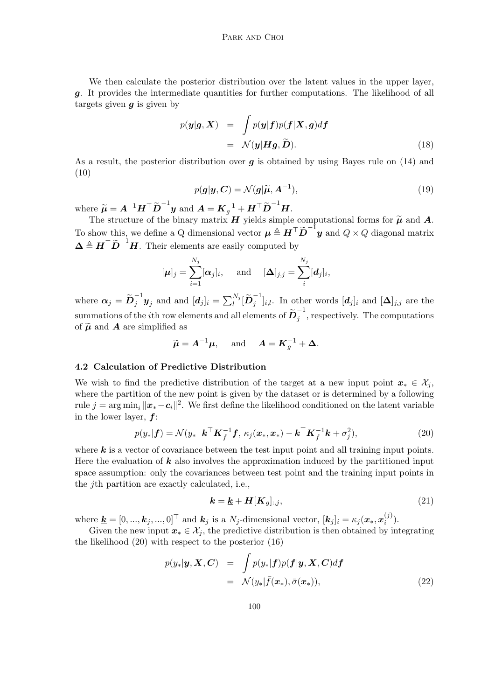We then calculate the posterior distribution over the latent values in the upper layer, *g*. It provides the intermediate quantities for further computations. The likelihood of all targets given *g* is given by

$$
p(\mathbf{y}|\mathbf{g}, \mathbf{X}) = \int p(\mathbf{y}|\mathbf{f})p(\mathbf{f}|\mathbf{X}, \mathbf{g})d\mathbf{f}
$$
  
=  $\mathcal{N}(\mathbf{y}|\mathbf{H}\mathbf{g}, \widetilde{\mathbf{D}}).$  (18)

As a result, the posterior distribution over *g* is obtained by using Bayes rule on (14) and (10)

$$
p(g|\mathbf{y}, \mathbf{C}) = \mathcal{N}(\mathbf{g}|\widetilde{\boldsymbol{\mu}}, \mathbf{A}^{-1}),
$$
\n(19)

where  $\widetilde{\boldsymbol{\mu}} = \boldsymbol{A}^{-1}\boldsymbol{H}^\top \widetilde{\boldsymbol{D}}^{-1} \boldsymbol{y}$  and  $\boldsymbol{A} = \boldsymbol{K}_g^{-1} + \boldsymbol{H}^\top \widetilde{\boldsymbol{D}}^{-1} \boldsymbol{H}.$ 

The structure of the binary matrix *H* yields simple computational forms for  $\tilde{\mu}$  and *A*. To show this, we define a Q dimensional vector  $\mu \triangleq \overline{H}^{\top} \widetilde{D}^{-1} y$  and  $Q \times Q$  diagonal matrix  $\Delta \triangleq H^{\top} \widetilde{D}^{-1} H$ . Their elements are easily computed by

$$
[\boldsymbol{\mu}]_j = \sum_{i=1}^{N_j} [\boldsymbol{\alpha}_j]_i, \quad \text{and} \quad [\boldsymbol{\Delta}]_{j,j} = \sum_i^{N_j} [d_j]_i,
$$

where  $\boldsymbol{\alpha}_j = \widetilde{\boldsymbol{D}}_j^{-1} \boldsymbol{y}_j$  and and  $[\boldsymbol{d}_j]_i = \sum_l^{N_j} [\widetilde{\boldsymbol{D}}_j^{-1}]_{i,l}$ . In other words  $[\boldsymbol{d}_j]_i$  and  $[\boldsymbol{\Delta}]_{j,j}$  are the  $\text{summations of the }i\text{th row elements and all elements of }\widetilde{\boldsymbol{D}}_{j}^{-1}\text{, respectively. The computations }\widetilde{\boldsymbol{D}}_{j}^{-1}\text{, }% \widetilde{\boldsymbol{D}}_{j}^{-1}\text{, }% \widetilde{\boldsymbol{D}}_{j}^{-1}\text{, }% \widetilde{\boldsymbol{D}}_{j}^{-1}\text{, }% \widetilde{\boldsymbol{D}}_{j}^{-1}\text{, }% \widetilde{\boldsymbol{D}}_{j}^{-1}\text{, }% \widetilde{\boldsymbol{D}}_{j}^{-1}\text{, }% \widetilde{\boldsymbol{D}}_{j}^{-1}\text{, }% \widetilde{\boldsymbol{D$ of  $\tilde{\mu}$  and **A** are simplified as

$$
\widetilde{\boldsymbol{\mu}} = \boldsymbol{A}^{-1} \boldsymbol{\mu}, \text{ and } \boldsymbol{A} = \boldsymbol{K}_g^{-1} + \boldsymbol{\Delta}.
$$

#### **4.2 Calculation of Predictive Distribution**

We wish to find the predictive distribution of the target at a new input point  $x_* \in \mathcal{X}_j$ , where the partition of the new point is given by the dataset or is determined by a following rule  $j = \arg \min_i ||x_* - c_i||^2$ . We first define the likelihood conditioned on the latent variable in the lower layer, *f*:

$$
p(y_*|\mathbf{f}) = \mathcal{N}(y_*|\mathbf{k}^\top \mathbf{K}_f^{-1} \mathbf{f}, \kappa_j(\mathbf{x}_*, \mathbf{x}_*) - \mathbf{k}^\top \mathbf{K}_f^{-1} \mathbf{k} + \sigma_j^2), \tag{20}
$$

where  $k$  is a vector of covariance between the test input point and all training input points. Here the evaluation of *k* also involves the approximation induced by the partitioned input space assumption: only the covariances between test point and the training input points in the *j*th partition are exactly calculated, i.e.,

$$
\mathbf{k} = \underline{\mathbf{k}} + \mathbf{H}[\mathbf{K}_g]_{:,j},\tag{21}
$$

where  $\underline{\mathbf{k}} = [0, ..., \mathbf{k}_j, ..., 0]^\top$  and  $\mathbf{k}_j$  is a  $N_j$ -dimensional vector,  $[\mathbf{k}_j]_i = \kappa_j(\mathbf{x}_*, \mathbf{x}_i^{(j)})$  $\binom{J}{i}$ .

Given the new input  $x_* \in \mathcal{X}_j$ , the predictive distribution is then obtained by integrating the likelihood (20) with respect to the posterior (16)

$$
p(y_*|\mathbf{y}, \mathbf{X}, \mathbf{C}) = \int p(y_*|\mathbf{f}) p(\mathbf{f}|\mathbf{y}, \mathbf{X}, \mathbf{C}) d\mathbf{f}
$$
  
=  $\mathcal{N}(y_*|\bar{f}(\mathbf{x}_*), \bar{\sigma}(\mathbf{x}_*)),$  (22)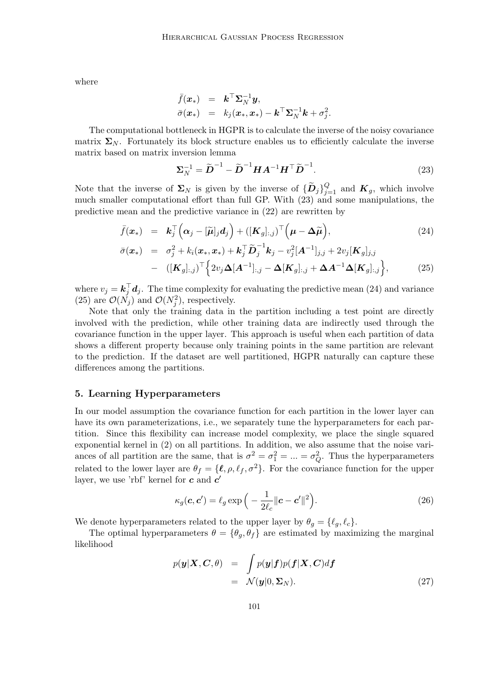where

$$
\begin{array}{rcl}\n\bar{f}(\boldsymbol{x}_*) & = & \boldsymbol{k}^\top \boldsymbol{\Sigma}_N^{-1} \boldsymbol{y}, \\
\bar{\sigma}(\boldsymbol{x}_*) & = & k_j(\boldsymbol{x}_*, \boldsymbol{x}_*) - \boldsymbol{k}^\top \boldsymbol{\Sigma}_N^{-1} \boldsymbol{k} + \sigma_j^2.\n\end{array}
$$

The computational bottleneck in HGPR is to calculate the inverse of the noisy covariance matrix  $\Sigma_N$ . Fortunately its block structure enables us to efficiently calculate the inverse matrix based on matrix inversion lemma

$$
\Sigma_N^{-1} = \widetilde{\boldsymbol{D}}^{-1} - \widetilde{\boldsymbol{D}}^{-1} \boldsymbol{H} \boldsymbol{A}^{-1} \boldsymbol{H}^\top \widetilde{\boldsymbol{D}}^{-1}.
$$
 (23)

Note that the inverse of  $\Sigma_N$  is given by the inverse of  $\{\widetilde{\bm{D}}_j\}_{j=1}^Q$  and  $\bm{K}_g$ , which involve much smaller computational effort than full GP. With (23) and some manipulations, the predictive mean and the predictive variance in (22) are rewritten by

$$
\bar{f}(\boldsymbol{x}_{*}) = \boldsymbol{k}_{j}^{\top} \left( \boldsymbol{\alpha}_{j} - [\widetilde{\boldsymbol{\mu}}]_{j} \boldsymbol{d}_{j} \right) + ([\boldsymbol{K}_{g}]_{:,j})^{\top} \left( \boldsymbol{\mu} - \boldsymbol{\Delta} \widetilde{\boldsymbol{\mu}} \right),
$$
\n
$$
\bar{\sigma}(\boldsymbol{x}_{*}) = \sigma_{j}^{2} + k_{i}(\boldsymbol{x}_{*}, \boldsymbol{x}_{*}) + \boldsymbol{k}_{j}^{\top} \widetilde{\boldsymbol{D}}_{j}^{-1} \boldsymbol{k}_{j} - v_{j}^{2} [\boldsymbol{A}^{-1}]_{j,j} + 2v_{j} [\boldsymbol{K}_{g}]_{j,j}
$$
\n(24)

$$
\mathbf{x}_{*}) = \sigma_{j}^{2} + k_{i}(\mathbf{x}_{*}, \mathbf{x}_{*}) + \mathbf{k}_{j}^{\top} \mathbf{D}_{j}^{\top} \mathbf{k}_{j} - v_{j}^{2} [\mathbf{A}^{-1}]_{j,j} + 2v_{j} [\mathbf{K}_{g}]_{j,j} - ([\mathbf{K}_{g}]_{:,j})^{\top} \Big\{ 2v_{j} \mathbf{\Delta} [\mathbf{A}^{-1}]_{:,j} - \mathbf{\Delta} [\mathbf{K}_{g}]_{:,j} + \mathbf{\Delta} \mathbf{A}^{-1} \mathbf{\Delta} [\mathbf{K}_{g}]_{:,j} \Big\},
$$
(25)

where  $v_j = \mathbf{k}_j^{\top} \mathbf{d}_j$ . The time complexity for evaluating the predictive mean (24) and variance (25) are  $\mathcal{O}(N_j)$  and  $\mathcal{O}(N_j^2)$ , respectively.

Note that only the training data in the partition including a test point are directly involved with the prediction, while other training data are indirectly used through the covariance function in the upper layer. This approach is useful when each partition of data shows a different property because only training points in the same partition are relevant to the prediction. If the dataset are well partitioned, HGPR naturally can capture these differences among the partitions.

#### **5. Learning Hyperparameters**

In our model assumption the covariance function for each partition in the lower layer can have its own parameterizations, i.e., we separately tune the hyperparameters for each partition. Since this flexibility can increase model complexity, we place the single squared exponential kernel in (2) on all partitions. In addition, we also assume that the noise variances of all partition are the same, that is  $\sigma^2 = \sigma_1^2 = ... = \sigma_Q^2$ . Thus the hyperparameters related to the lower layer are  $\theta_f = {\ell, \rho, \ell_f, \sigma^2}$ . For the covariance function for the upper layer, we use 'rbf' kernel for  $c$  and  $c'$ 

$$
\kappa_g(\boldsymbol{c}, \boldsymbol{c}') = \ell_g \exp\left(-\frac{1}{2\ell_c} \|\boldsymbol{c} - \boldsymbol{c}'\|^2\right).
$$
 (26)

We denote hyperparameters related to the upper layer by  $\theta_g = {\ell_g, \ell_c}$ .

The optimal hyperparameters  $\theta = {\theta_q, \theta_f}$  are estimated by maximizing the marginal likelihood

$$
p(\mathbf{y}|\mathbf{X}, \mathbf{C}, \theta) = \int p(\mathbf{y}|\mathbf{f}) p(\mathbf{f}|\mathbf{X}, \mathbf{C}) d\mathbf{f}
$$
  
=  $\mathcal{N}(\mathbf{y}|0, \Sigma_N).$  (27)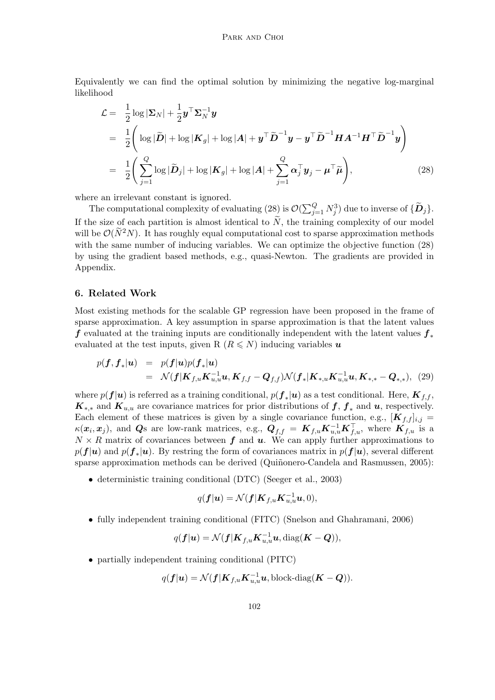Equivalently we can find the optimal solution by minimizing the negative log-marginal likelihood

$$
\mathcal{L} = \frac{1}{2} \log |\Sigma_N| + \frac{1}{2} \mathbf{y}^\top \Sigma_N^{-1} \mathbf{y}
$$
  
\n
$$
= \frac{1}{2} \left( \log |\widetilde{D}| + \log |\mathbf{K}_g| + \log |\mathbf{A}| + \mathbf{y}^\top \widetilde{D}^{-1} \mathbf{y} - \mathbf{y}^\top \widetilde{D}^{-1} \mathbf{H} \mathbf{A}^{-1} \mathbf{H}^\top \widetilde{D}^{-1} \mathbf{y} \right)
$$
  
\n
$$
= \frac{1}{2} \left( \sum_{j=1}^Q \log |\widetilde{D}_j| + \log |\mathbf{K}_g| + \log |\mathbf{A}| + \sum_{j=1}^Q \alpha_j^\top \mathbf{y}_j - \boldsymbol{\mu}^\top \widetilde{\boldsymbol{\mu}} \right), \tag{28}
$$

where an irrelevant constant is ignored.

The computational complexity of evaluating (28) is  $\mathcal{O}(\sum_{j=1}^{Q} N_j^3)$  due to inverse of  $\{\widetilde{\bm{D}}_j\}$ . If the size of each partition is almost identical to  $\tilde{N}$ , the training complexity of our model will be  $\mathcal{O}(\widetilde{N}^2N)$ . It has roughly equal computational cost to sparse approximation methods with the same number of inducing variables. We can optimize the objective function (28) by using the gradient based methods, e.g., quasi-Newton. The gradients are provided in Appendix.

#### **6. Related Work**

Most existing methods for the scalable GP regression have been proposed in the frame of sparse approximation. A key assumption in sparse approximation is that the latent values *f* evaluated at the training inputs are conditionally independent with the latent values *f<sup>∗</sup>* evaluated at the test inputs, given R  $(R \leq N)$  inducing variables *u* 

$$
p(\mathbf{f}, \mathbf{f}_*|\mathbf{u}) = p(\mathbf{f}|\mathbf{u})p(\mathbf{f}_*|\mathbf{u})
$$
  
=  $\mathcal{N}(\mathbf{f}|\mathbf{K}_{f,u}\mathbf{K}_{u,u}^{-1}\mathbf{u}, \mathbf{K}_{f,f} - \mathbf{Q}_{f,f})\mathcal{N}(\mathbf{f}_*|\mathbf{K}_{*,u}\mathbf{K}_{u,u}^{-1}\mathbf{u}, \mathbf{K}_{*,*} - \mathbf{Q}_{*,*}),$  (29)

where  $p(f|\mathbf{u})$  is referred as a training conditional,  $p(f_*|\mathbf{u})$  as a test conditional. Here,  $K_{f,f}$ ,  $K_{**}$  and  $K_{u,u}$  are covariance matrices for prior distributions of  $f, f_*$  and  $u$ , respectively. Each element of these matrices is given by a single covariance function, e.g.,  $[K_{f,f}]_{i,j} =$  $\kappa(x_i, x_j)$ , and *Q*s are low-rank matrices, e.g.,  $Q_{f,f} = K_{f,u} K_{u,u}^{-1} K_{f,u}^{\top}$ , where  $K_{f,u}$  is a  $N \times R$  matrix of covariances between  $f$  and  $u$ . We can apply further approximations to  $p(f|\mathbf{u})$  and  $p(\mathbf{f}_*|\mathbf{u})$ . By restring the form of covariances matrix in  $p(\mathbf{f}|\mathbf{u})$ , several different sparse approximation methods can be derived (Quiñonero-Candela and Rasmussen, 2005):

*•* deterministic training conditional (DTC) (Seeger et al., 2003)

$$
q(\boldsymbol{f}|\boldsymbol{u}) = \mathcal{N}(\boldsymbol{f}|\boldsymbol{K}_{f,u}\boldsymbol{K}_{u,u}^{-1}\boldsymbol{u},0),
$$

• fully independent training conditional (FITC) (Snelson and Ghahramani, 2006)

$$
q(\boldsymbol{f}|\boldsymbol{u})=\mathcal{N}(\boldsymbol{f}|\boldsymbol{K}_{f,u}\boldsymbol{K}_{u,u}^{-1}\boldsymbol{u},\mathrm{diag}(\boldsymbol{K}-\boldsymbol{Q})),
$$

• partially independent training conditional (PITC)

$$
q(\boldsymbol{f}|\boldsymbol{u}) = \mathcal{N}(\boldsymbol{f}|\boldsymbol{K}_{f,u}\boldsymbol{K}_{u,u}^{-1}\boldsymbol{u}, \text{block-diag}(\boldsymbol{K}-\boldsymbol{Q})).
$$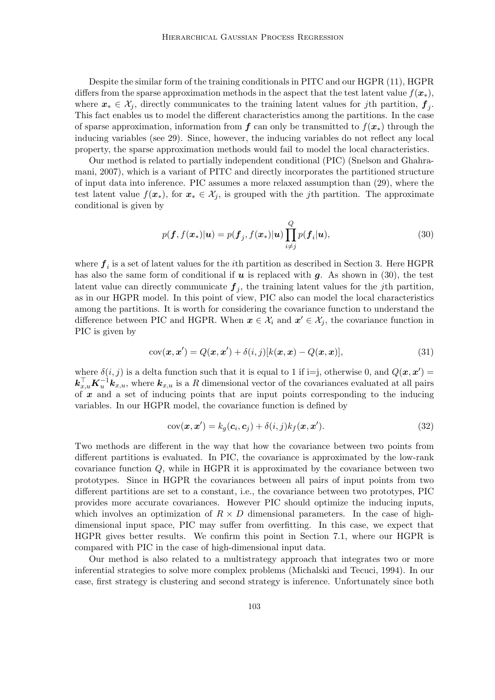Despite the similar form of the training conditionals in PITC and our HGPR (11), HGPR differs from the sparse approximation methods in the aspect that the test latent value  $f(x_*)$ , where  $x_* \in \mathcal{X}_j$ , directly communicates to the training latent values for *j*th partition,  $f_j$ . This fact enables us to model the different characteristics among the partitions. In the case of sparse approximation, information from  $f$  can only be transmitted to  $f(x_*)$  through the inducing variables (see 29). Since, however, the inducing variables do not reflect any local property, the sparse approximation methods would fail to model the local characteristics.

Our method is related to partially independent conditional (PIC) (Snelson and Ghahramani, 2007), which is a variant of PITC and directly incorporates the partitioned structure of input data into inference. PIC assumes a more relaxed assumption than (29), where the test latent value  $f(x_*)$ , for  $x_* \in \mathcal{X}_j$ , is grouped with the *j*th partition. The approximate conditional is given by

$$
p(\boldsymbol{f}, f(\boldsymbol{x}_*)|\boldsymbol{u}) = p(\boldsymbol{f}_j, f(\boldsymbol{x}_*)|\boldsymbol{u}) \prod_{i \neq j}^{Q} p(\boldsymbol{f}_i|\boldsymbol{u}),
$$
\n(30)

where  $f_i$  is a set of latent values for the *i*<sup>th</sup> partition as described in Section 3. Here HGPR has also the same form of conditional if  $u$  is replaced with  $g$ . As shown in (30), the test latent value can directly communicate  $f_j$ , the training latent values for the *j*th partition, as in our HGPR model. In this point of view, PIC also can model the local characteristics among the partitions. It is worth for considering the covariance function to understand the difference between PIC and HGPR. When  $x \in \mathcal{X}_i$  and  $x' \in \mathcal{X}_j$ , the covariance function in PIC is given by

$$
cov(\boldsymbol{x}, \boldsymbol{x}') = Q(\boldsymbol{x}, \boldsymbol{x}') + \delta(i, j)[k(\boldsymbol{x}, \boldsymbol{x}) - Q(\boldsymbol{x}, \boldsymbol{x})],
$$
\n(31)

where  $\delta(i, j)$  is a delta function such that it is equal to 1 if i=j, otherwise 0, and  $Q(\mathbf{x}, \mathbf{x}') =$  $k_{x,u}^{\top}$ *K*<sub> $u$ </sub><sup>-1</sup> $k_{x,u}$ , where  $k_{x,u}$  is a *R* dimensional vector of the covariances evaluated at all pairs of *x* and a set of inducing points that are input points corresponding to the inducing variables. In our HGPR model, the covariance function is defined by

$$
cov(\boldsymbol{x}, \boldsymbol{x}') = k_g(\boldsymbol{c}_i, \boldsymbol{c}_j) + \delta(i, j)k_f(\boldsymbol{x}, \boldsymbol{x}').
$$
\n(32)

Two methods are different in the way that how the covariance between two points from different partitions is evaluated. In PIC, the covariance is approximated by the low-rank covariance function *Q*, while in HGPR it is approximated by the covariance between two prototypes. Since in HGPR the covariances between all pairs of input points from two different partitions are set to a constant, i.e., the covariance between two prototypes, PIC provides more accurate covariances. However PIC should optimize the inducing inputs, which involves an optimization of  $R \times D$  dimensional parameters. In the case of highdimensional input space, PIC may suffer from overfitting. In this case, we expect that HGPR gives better results. We confirm this point in Section 7.1, where our HGPR is compared with PIC in the case of high-dimensional input data.

Our method is also related to a multistrategy approach that integrates two or more inferential strategies to solve more complex problems (Michalski and Tecuci, 1994). In our case, first strategy is clustering and second strategy is inference. Unfortunately since both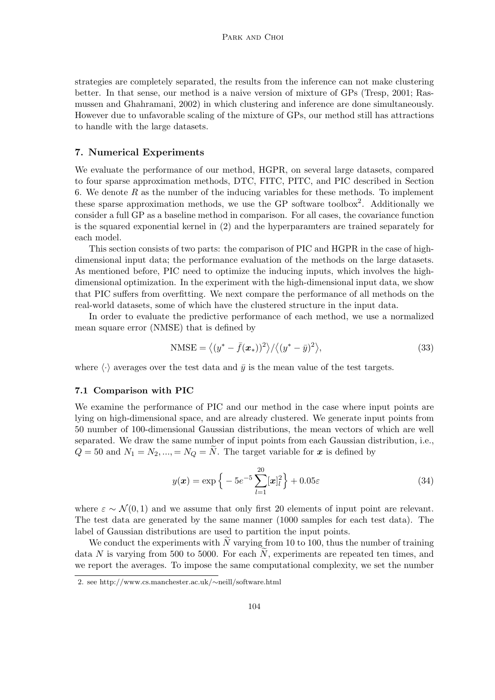strategies are completely separated, the results from the inference can not make clustering better. In that sense, our method is a naive version of mixture of GPs (Tresp, 2001; Rasmussen and Ghahramani, 2002) in which clustering and inference are done simultaneously. However due to unfavorable scaling of the mixture of GPs, our method still has attractions to handle with the large datasets.

# **7. Numerical Experiments**

We evaluate the performance of our method, HGPR, on several large datasets, compared to four sparse approximation methods, DTC, FITC, PITC, and PIC described in Section 6. We denote *R* as the number of the inducing variables for these methods. To implement these sparse approximation methods, we use the GP software toolbox<sup>2</sup>. Additionally we consider a full GP as a baseline method in comparison. For all cases, the covariance function is the squared exponential kernel in (2) and the hyperparamters are trained separately for each model.

This section consists of two parts: the comparison of PIC and HGPR in the case of highdimensional input data; the performance evaluation of the methods on the large datasets. As mentioned before, PIC need to optimize the inducing inputs, which involves the highdimensional optimization. In the experiment with the high-dimensional input data, we show that PIC suffers from overfitting. We next compare the performance of all methods on the real-world datasets, some of which have the clustered structure in the input data.

In order to evaluate the predictive performance of each method, we use a normalized mean square error (NMSE) that is defined by

$$
\text{NMSE} = \langle (y^* - \bar{f}(\boldsymbol{x}_*))^2 \rangle / \langle (y^* - \bar{y})^2 \rangle, \tag{33}
$$

where  $\langle \cdot \rangle$  averages over the test data and  $\bar{y}$  is the mean value of the test targets.

#### **7.1 Comparison with PIC**

We examine the performance of PIC and our method in the case where input points are lying on high-dimensional space, and are already clustered. We generate input points from 50 number of 100-dimensional Gaussian distributions, the mean vectors of which are well separated. We draw the same number of input points from each Gaussian distribution, i.e.,  $Q = 50$  and  $N_1 = N_2, ..., = N_Q = \tilde{N}$ . The target variable for *x* is defined by

$$
y(\boldsymbol{x}) = \exp\left\{-5e^{-5}\sum_{l=1}^{20}[\boldsymbol{x}]_l^2\right\} + 0.05\varepsilon\tag{34}
$$

where  $\varepsilon \sim \mathcal{N}(0, 1)$  and we assume that only first 20 elements of input point are relevant. The test data are generated by the same manner (1000 samples for each test data). The label of Gaussian distributions are used to partition the input points.

We conduct the experiments with  $\tilde{N}$  varying from 10 to 100, thus the number of training data *N* is varying from 500 to 5000. For each  $\tilde{N}$ , experiments are repeated ten times, and we report the averages. To impose the same computational complexity, we set the number

<sup>2.</sup> see http://www.cs.manchester.ac.uk/*∼*neill/software.html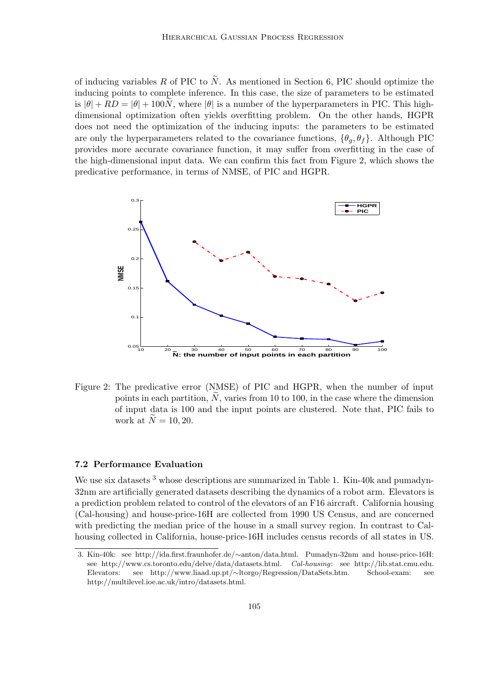of inducing variables R of PIC to  $\tilde{N}$ . As mentioned in Section 6, PIC should optimize the inducing points to complete inference. In this case, the size of parameters to be estimated is  $|\theta| + RD = |\theta| + 100N$ , where  $|\theta|$  is a number of the hyperparameters in PIC. This highdimensional optimization often yields overfitting problem. On the other hands, HGPR does not need the optimization of the inducing inputs: the parameters to be estimated are only the hyperparameters related to the covariance functions,  $\{\theta_a, \theta_f\}$ . Although PIC provides more accurate covariance function, it may suffer from overfitting in the case of the high-dimensional input data. We can confirm this fact from Figure 2, which shows the predicative performance, in terms of NMSE, of PIC and HGPR.



Figure 2: The predicative error (NMSE) of PIC and HGPR, when the number of input points in each partition,  $\tilde{N}$ , varies from 10 to 100, in the case where the dimension of input data is 100 and the input points are clustered. Note that, PIC fails to work at  $\tilde{N} = 10, 20$ .

#### **7.2 Performance Evaluation**

We use six datasets <sup>3</sup> whose descriptions are summarized in Table 1. Kin-40k and pumadyn-32nm are artificially generated datasets describing the dynamics of a robot arm. Elevators is a prediction problem related to control of the elevators of an F16 aircraft. California housing (Cal-housing) and house-price-16H are collected from 1990 US Census, and are concerned with predicting the median price of the house in a small survey region. In contrast to Calhousing collected in California, house-price-16H includes census records of all states in US.

<sup>3.</sup> Kin-40k: see http://ida.first.fraunhofer.de/*∼*anton/data.html. Pumadyn-32nm and house-price-16H: see http://www.cs.toronto.edu/delve/data/datasets.html. *Cal-housing*: see http://lib.stat.cmu.edu. Elevators: see http://www.liaad.up.pt/*∼*ltorgo/Regression/DataSets.htm. School-exam: see http://multilevel.ioe.ac.uk/intro/datasets.html.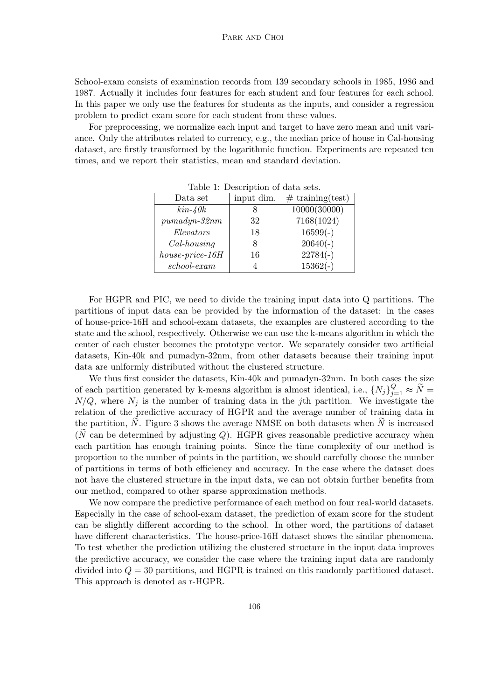School-exam consists of examination records from 139 secondary schools in 1985, 1986 and 1987. Actually it includes four features for each student and four features for each school. In this paper we only use the features for students as the inputs, and consider a regression problem to predict exam score for each student from these values.

For preprocessing, we normalize each input and target to have zero mean and unit variance. Only the attributes related to currency, e.g., the median price of house in Cal-housing dataset, are firstly transformed by the logarithmic function. Experiments are repeated ten times, and we report their statistics, mean and standard deviation.

| input dim. | $#$ training (test) |  |  |  |  |  |  |  |
|------------|---------------------|--|--|--|--|--|--|--|
|            | 10000(30000)        |  |  |  |  |  |  |  |
| 32         | 7168(1024)          |  |  |  |  |  |  |  |
| 18         | $16599(-)$          |  |  |  |  |  |  |  |
| 8          | $20640(-)$          |  |  |  |  |  |  |  |
| 16         | $22784(-)$          |  |  |  |  |  |  |  |
|            | $15362(-)$          |  |  |  |  |  |  |  |
|            |                     |  |  |  |  |  |  |  |

Table 1: Description of data sets.

For HGPR and PIC, we need to divide the training input data into Q partitions. The partitions of input data can be provided by the information of the dataset: in the cases of house-price-16H and school-exam datasets, the examples are clustered according to the state and the school, respectively. Otherwise we can use the k-means algorithm in which the center of each cluster becomes the prototype vector. We separately consider two artificial datasets, Kin-40k and pumadyn-32nm, from other datasets because their training input data are uniformly distributed without the clustered structure.

We thus first consider the datasets, Kin-40k and pumadyn-32nm. In both cases the size of each partition generated by k-means algorithm is almost identical, i.e.,  $\{N_j\}_{j=1}^Q \approx \tilde{N}$  $N/Q$ , where  $N_j$  is the number of training data in the *j*th partition. We investigate the relation of the predictive accuracy of HGPR and the average number of training data in the partition,  $N$ . Figure 3 shows the average NMSE on both datasets when  $N$  is increased  $(N \text{ can be determined by adjusting } Q)$ . HGPR gives reasonable predictive accuracy when each partition has enough training points. Since the time complexity of our method is proportion to the number of points in the partition, we should carefully choose the number of partitions in terms of both efficiency and accuracy. In the case where the dataset does not have the clustered structure in the input data, we can not obtain further benefits from our method, compared to other sparse approximation methods.

We now compare the predictive performance of each method on four real-world datasets. Especially in the case of school-exam dataset, the prediction of exam score for the student can be slightly different according to the school. In other word, the partitions of dataset have different characteristics. The house-price-16H dataset shows the similar phenomena. To test whether the prediction utilizing the clustered structure in the input data improves the predictive accuracy, we consider the case where the training input data are randomly divided into *Q* = 30 partitions, and HGPR is trained on this randomly partitioned dataset. This approach is denoted as r-HGPR.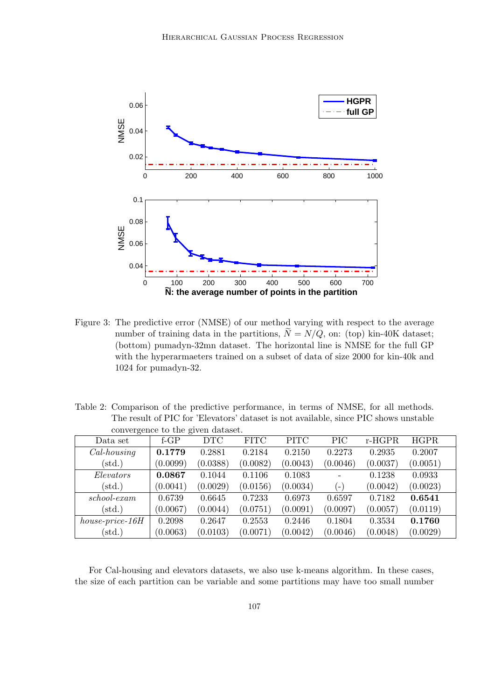

Figure 3: The predictive error (NMSE) of our method varying with respect to the average number of training data in the partitions,  $\widetilde{N} = N/Q$ , on: (top) kin-40K dataset; (bottom) pumadyn-32mn dataset. The horizontal line is NMSE for the full GP with the hyperarmaeters trained on a subset of data of size 2000 for kin-40k and 1024 for pumadyn-32.

Table 2: Comparison of the predictive performance, in terms of NMSE, for all methods. The result of PIC for 'Elevators' dataset is not available, since PIC shows unstable convergence to the given dataset.

| Data set             | $f-GP$   | <b>DTC</b> | <b>FITC</b> | <b>PITC</b> | <b>PIC</b> | $r-HGPR$ | <b>HGPR</b> |
|----------------------|----------|------------|-------------|-------------|------------|----------|-------------|
| $Cal-housing$        | 0.1779   | 0.2881     | 0.2184      | 0.2150      | 0.2273     | 0.2935   | 0.2007      |
| $(\text{std.})$      | (0.0099) | (0.0388)   | (0.0082)    | (0.0043)    | (0.0046)   | (0.0037) | (0.0051)    |
| Elevators            | 0.0867   | 0.1044     | 0.1106      | 0.1083      |            | 0.1238   | 0.0933      |
| $(\text{std.})$      | (0.0041) | (0.0029)   | (0.0156)    | (0.0034)    | (–)        | (0.0042) | (0.0023)    |
| $\emph{school-exam}$ | 0.6739   | 0.6645     | 0.7233      | 0.6973      | 0.6597     | 0.7182   | 0.6541      |
| $(\text{std.})$      | (0.0067) | (0.0044)   | (0.0751)    | (0.0091)    | (0.0097)   | (0.0057) | (0.0119)    |
| $house-price-16H$    | 0.2098   | 0.2647     | 0.2553      | 0.2446      | 0.1804     | 0.3534   | 0.1760      |
| $(\text{std.})$      | (0.0063) | (0.0103)   | (0.0071)    | (0.0042)    | (0.0046)   | (0.0048) | (0.0029)    |

For Cal-housing and elevators datasets, we also use k-means algorithm. In these cases, the size of each partition can be variable and some partitions may have too small number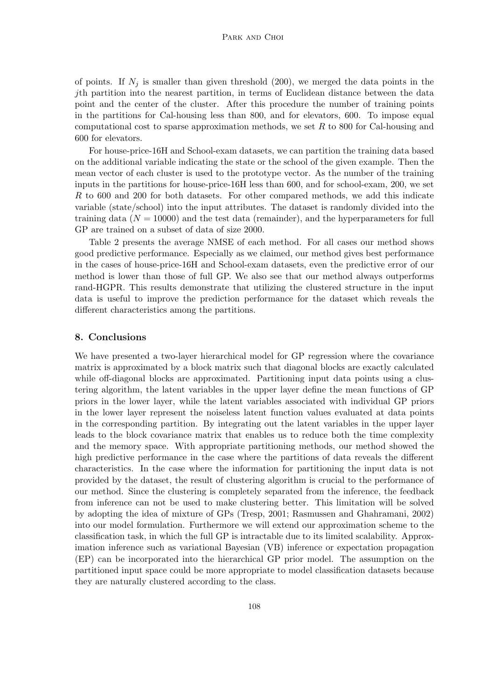of points. If  $N_j$  is smaller than given threshold (200), we merged the data points in the *j*th partition into the nearest partition, in terms of Euclidean distance between the data point and the center of the cluster. After this procedure the number of training points in the partitions for Cal-housing less than 800, and for elevators, 600. To impose equal computational cost to sparse approximation methods, we set *R* to 800 for Cal-housing and 600 for elevators.

For house-price-16H and School-exam datasets, we can partition the training data based on the additional variable indicating the state or the school of the given example. Then the mean vector of each cluster is used to the prototype vector. As the number of the training inputs in the partitions for house-price-16H less than 600, and for school-exam, 200, we set *R* to 600 and 200 for both datasets. For other compared methods, we add this indicate variable (state/school) into the input attributes. The dataset is randomly divided into the training data  $(N = 10000)$  and the test data (remainder), and the hyperparameters for full GP are trained on a subset of data of size 2000.

Table 2 presents the average NMSE of each method. For all cases our method shows good predictive performance. Especially as we claimed, our method gives best performance in the cases of house-price-16H and School-exam datasets, even the predictive error of our method is lower than those of full GP. We also see that our method always outperforms rand-HGPR. This results demonstrate that utilizing the clustered structure in the input data is useful to improve the prediction performance for the dataset which reveals the different characteristics among the partitions.

# **8. Conclusions**

We have presented a two-layer hierarchical model for GP regression where the covariance matrix is approximated by a block matrix such that diagonal blocks are exactly calculated while off-diagonal blocks are approximated. Partitioning input data points using a clustering algorithm, the latent variables in the upper layer define the mean functions of GP priors in the lower layer, while the latent variables associated with individual GP priors in the lower layer represent the noiseless latent function values evaluated at data points in the corresponding partition. By integrating out the latent variables in the upper layer leads to the block covariance matrix that enables us to reduce both the time complexity and the memory space. With appropriate partitioning methods, our method showed the high predictive performance in the case where the partitions of data reveals the different characteristics. In the case where the information for partitioning the input data is not provided by the dataset, the result of clustering algorithm is crucial to the performance of our method. Since the clustering is completely separated from the inference, the feedback from inference can not be used to make clustering better. This limitation will be solved by adopting the idea of mixture of GPs (Tresp, 2001; Rasmussen and Ghahramani, 2002) into our model formulation. Furthermore we will extend our approximation scheme to the classification task, in which the full GP is intractable due to its limited scalability. Approximation inference such as variational Bayesian (VB) inference or expectation propagation (EP) can be incorporated into the hierarchical GP prior model. The assumption on the partitioned input space could be more appropriate to model classification datasets because they are naturally clustered according to the class.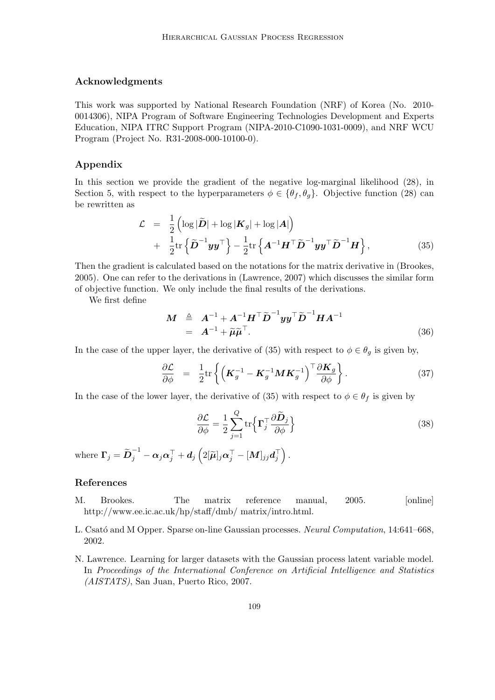### **Acknowledgments**

This work was supported by National Research Foundation (NRF) of Korea (No. 2010- 0014306), NIPA Program of Software Engineering Technologies Development and Experts Education, NIPA ITRC Support Program (NIPA-2010-C1090-1031-0009), and NRF WCU Program (Project No. R31-2008-000-10100-0).

# **Appendix**

In this section we provide the gradient of the negative log-marginal likelihood  $(28)$ , in Section 5, with respect to the hyperparameters  $\phi \in {\theta_f, \theta_g}$ . Objective function (28) can be rewritten as

$$
\mathcal{L} = \frac{1}{2} \left( \log |\tilde{D}| + \log |\mathbf{K}_g| + \log |\mathbf{A}| \right) \n+ \frac{1}{2} \text{tr} \left\{ \tilde{D}^{-1} y y^\top \right\} - \frac{1}{2} \text{tr} \left\{ \mathbf{A}^{-1} \mathbf{H}^\top \tilde{D}^{-1} y y^\top \tilde{D}^{-1} \mathbf{H} \right\},
$$
\n(35)

Then the gradient is calculated based on the notations for the matrix derivative in (Brookes, 2005). One can refer to the derivations in (Lawrence, 2007) which discusses the similar form of objective function. We only include the final results of the derivations.

We first define

$$
\mathbf{M} \triangleq \mathbf{A}^{-1} + \mathbf{A}^{-1} \mathbf{H}^{\top} \widetilde{\mathbf{D}}^{-1} \mathbf{y} \mathbf{y}^{\top} \widetilde{\mathbf{D}}^{-1} \mathbf{H} \mathbf{A}^{-1} \n= \mathbf{A}^{-1} + \widetilde{\boldsymbol{\mu}} \widetilde{\boldsymbol{\mu}}^{\top}.
$$
\n(36)

In the case of the upper layer, the derivative of (35) with respect to  $\phi \in \theta_g$  is given by,

$$
\frac{\partial \mathcal{L}}{\partial \phi} = \frac{1}{2} \text{tr} \left\{ \left( \boldsymbol{K}_g^{-1} - \boldsymbol{K}_g^{-1} \boldsymbol{M} \boldsymbol{K}_g^{-1} \right)^{\top} \frac{\partial \boldsymbol{K}_g}{\partial \phi} \right\}. \tag{37}
$$

In the case of the lower layer, the derivative of (35) with respect to  $\phi \in \theta_f$  is given by

$$
\frac{\partial \mathcal{L}}{\partial \phi} = \frac{1}{2} \sum_{j=1}^{Q} \text{tr} \left\{ \mathbf{\Gamma}_{j}^{\top} \frac{\partial \widetilde{\mathbf{D}}_{j}}{\partial \phi} \right\}
$$
(38)

where  $\boldsymbol{\Gamma}_j = \widetilde{\boldsymbol{D}}_j^{-1} - \boldsymbol{\alpha}_j \boldsymbol{\alpha}_j^{\top} + \boldsymbol{d}_j \left(2[\widetilde{\boldsymbol{\mu}}]_j \boldsymbol{\alpha}_j^{\top} - [\boldsymbol{M}]_{jj} \boldsymbol{d}_j^{\top}\right).$ 

# **References**

- M. Brookes. The matrix reference manual, 2005. [online] http://www.ee.ic.ac.uk/hp/staff/dmb/ matrix/intro.html.
- L. Csató and M Opper. Sparse on-line Gaussian processes. *Neural Computation*, 14:641–668, 2002.
- N. Lawrence. Learning for larger datasets with the Gaussian process latent variable model. In *Proceedings of the International Conference on Artificial Intelligence and Statistics (AISTATS)*, San Juan, Puerto Rico, 2007.